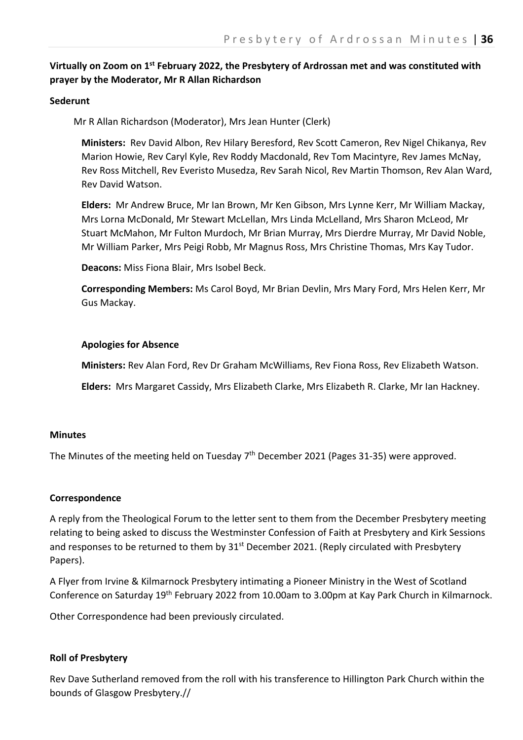# **Virtually on Zoom on 1st February 2022, the Presbytery of Ardrossan met and was constituted with prayer by the Moderator, Mr R Allan Richardson**

#### **Sederunt**

Mr R Allan Richardson (Moderator), Mrs Jean Hunter (Clerk)

**Ministers:** Rev David Albon, Rev Hilary Beresford, Rev Scott Cameron, Rev Nigel Chikanya, Rev Marion Howie, Rev Caryl Kyle, Rev Roddy Macdonald, Rev Tom Macintyre, Rev James McNay, Rev Ross Mitchell, Rev Everisto Musedza, Rev Sarah Nicol, Rev Martin Thomson, Rev Alan Ward, Rev David Watson.

**Elders:** Mr Andrew Bruce, Mr Ian Brown, Mr Ken Gibson, Mrs Lynne Kerr, Mr William Mackay, Mrs Lorna McDonald, Mr Stewart McLellan, Mrs Linda McLelland, Mrs Sharon McLeod, Mr Stuart McMahon, Mr Fulton Murdoch, Mr Brian Murray, Mrs Dierdre Murray, Mr David Noble, Mr William Parker, Mrs Peigi Robb, Mr Magnus Ross, Mrs Christine Thomas, Mrs Kay Tudor.

**Deacons:** Miss Fiona Blair, Mrs Isobel Beck.

**Corresponding Members:** Ms Carol Boyd, Mr Brian Devlin, Mrs Mary Ford, Mrs Helen Kerr, Mr Gus Mackay.

#### **Apologies for Absence**

**Ministers:** Rev Alan Ford, Rev Dr Graham McWilliams, Rev Fiona Ross, Rev Elizabeth Watson.

**Elders:** Mrs Margaret Cassidy, Mrs Elizabeth Clarke, Mrs Elizabeth R. Clarke, Mr Ian Hackney.

#### **Minutes**

The Minutes of the meeting held on Tuesday 7<sup>th</sup> December 2021 (Pages 31-35) were approved.

#### **Correspondence**

A reply from the Theological Forum to the letter sent to them from the December Presbytery meeting relating to being asked to discuss the Westminster Confession of Faith at Presbytery and Kirk Sessions and responses to be returned to them by 31<sup>st</sup> December 2021. (Reply circulated with Presbytery Papers).

A Flyer from Irvine & Kilmarnock Presbytery intimating a Pioneer Ministry in the West of Scotland Conference on Saturday 19th February 2022 from 10.00am to 3.00pm at Kay Park Church in Kilmarnock.

Other Correspondence had been previously circulated.

## **Roll of Presbytery**

Rev Dave Sutherland removed from the roll with his transference to Hillington Park Church within the bounds of Glasgow Presbytery.//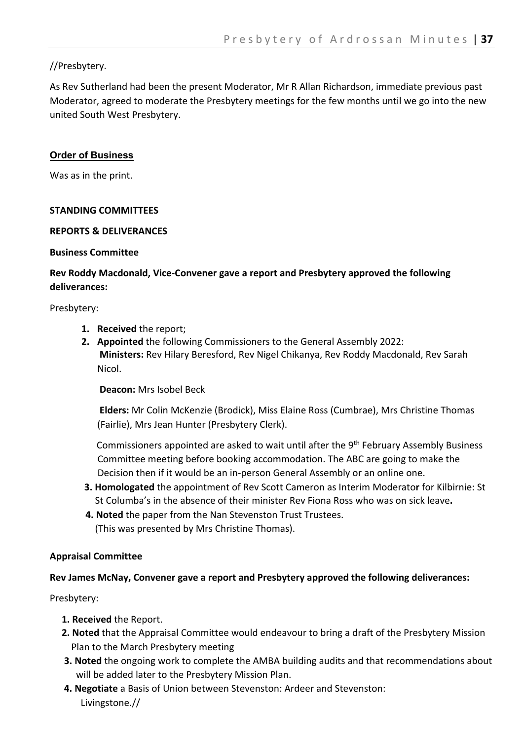# //Presbytery.

As Rev Sutherland had been the present Moderator, Mr R Allan Richardson, immediate previous past Moderator, agreed to moderate the Presbytery meetings for the few months until we go into the new united South West Presbytery.

# **Order of Business**

Was as in the print.

## **STANDING COMMITTEES**

#### **REPORTS & DELIVERANCES**

#### **Business Committee**

# **Rev Roddy Macdonald, Vice-Convener gave a report and Presbytery approved the following deliverances:**

Presbytery:

- **1. Received** the report;
- **2. Appointed** the following Commissioners to the General Assembly 2022: **Ministers:** Rev Hilary Beresford, Rev Nigel Chikanya, Rev Roddy Macdonald, Rev Sarah Nicol.

**Deacon:** Mrs Isobel Beck

**Elders:** Mr Colin McKenzie (Brodick), Miss Elaine Ross (Cumbrae), Mrs Christine Thomas (Fairlie), Mrs Jean Hunter (Presbytery Clerk).

Commissioners appointed are asked to wait until after the 9th February Assembly Business Committee meeting before booking accommodation. The ABC are going to make the Decision then if it would be an in-person General Assembly or an online one.

- **3. Homologated** the appointment of Rev Scott Cameron as Interim Moderato**r** for Kilbirnie: St St Columba's in the absence of their minister Rev Fiona Ross who was on sick leave**.**
- **4. Noted** the paper from the Nan Stevenston Trust Trustees. (This was presented by Mrs Christine Thomas).

## **Appraisal Committee**

## **Rev James McNay, Convener gave a report and Presbytery approved the following deliverances:**

Presbytery:

- **1. Received** the Report.
- **2. Noted** that the Appraisal Committee would endeavour to bring a draft of the Presbytery Mission Plan to the March Presbytery meeting
- **3. Noted** the ongoing work to complete the AMBA building audits and that recommendations about will be added later to the Presbytery Mission Plan.
- **4. Negotiate** a Basis of Union between Stevenston: Ardeer and Stevenston: Livingstone.//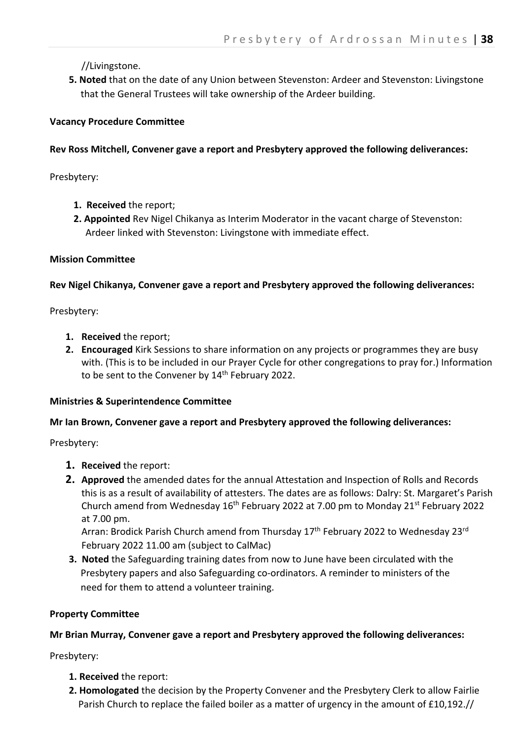//Livingstone.

 **5. Noted** that on the date of any Union between Stevenston: Ardeer and Stevenston: Livingstone that the General Trustees will take ownership of the Ardeer building.

## **Vacancy Procedure Committee**

## **Rev Ross Mitchell, Convener gave a report and Presbytery approved the following deliverances:**

Presbytery:

- **1. Received** the report;
- **2. Appointed** Rev Nigel Chikanya as Interim Moderator in the vacant charge of Stevenston: Ardeer linked with Stevenston: Livingstone with immediate effect.

## **Mission Committee**

## **Rev Nigel Chikanya, Convener gave a report and Presbytery approved the following deliverances:**

Presbytery:

- **1. Received** the report;
- **2. Encouraged** Kirk Sessions to share information on any projects or programmes they are busy with. (This is to be included in our Prayer Cycle for other congregations to pray for.) Information to be sent to the Convener by 14<sup>th</sup> February 2022.

## **Ministries & Superintendence Committee**

#### **Mr Ian Brown, Convener gave a report and Presbytery approved the following deliverances:**

Presbytery:

- **1. Received** the report:
- **2. Approved** the amended dates for the annual Attestation and Inspection of Rolls and Records this is as a result of availability of attesters. The dates are as follows: Dalry: St. Margaret's Parish Church amend from Wednesday  $16<sup>th</sup>$  February 2022 at 7.00 pm to Monday 21<sup>st</sup> February 2022 at 7.00 pm.

Arran: Brodick Parish Church amend from Thursday 17<sup>th</sup> February 2022 to Wednesday 23<sup>rd</sup> February 2022 11.00 am (subject to CalMac)

 **3. Noted** the Safeguarding training dates from now to June have been circulated with the Presbytery papers and also Safeguarding co-ordinators. A reminder to ministers of the need for them to attend a volunteer training.

## **Property Committee**

## **Mr Brian Murray, Convener gave a report and Presbytery approved the following deliverances:**

Presbytery:

- **1. Received** the report:
- **2. Homologated** the decision by the Property Convener and the Presbytery Clerk to allow Fairlie Parish Church to replace the failed boiler as a matter of urgency in the amount of £10,192.//